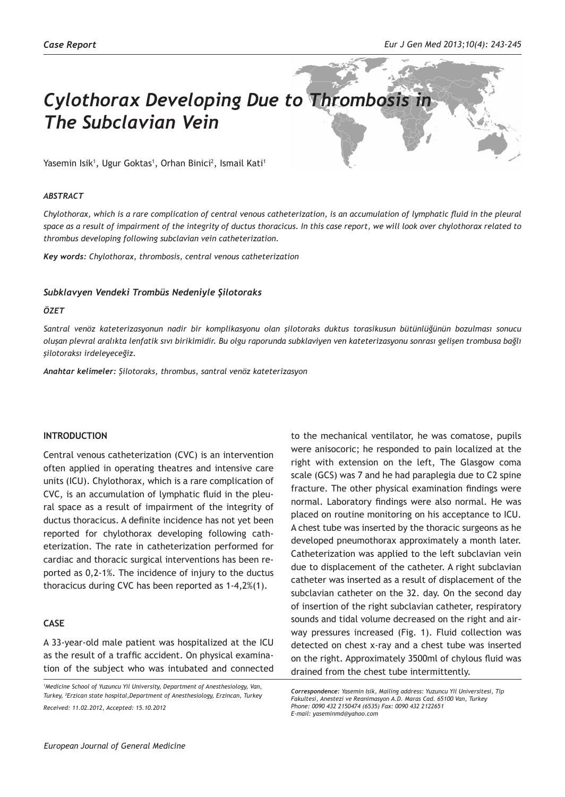# *Cylothorax Developing Due to Thrombosis in The Subclavian Vein*

Yasemin Isik<sup>1</sup>, Ugur Goktas<sup>1</sup>, Orhan Binici<sup>2</sup>, Ismail Kati<sup>1</sup>

#### *ABSTRACT*

*Chylothorax, which is a rare complication of central venous catheterization, is an accumulation of lymphatic fluid in the pleural space as a result of impairment of the integrity of ductus thoracicus. In this case report, we will look over chylothorax related to thrombus developing following subclavian vein catheterization.*

*Key words: Chylothorax, thrombosis, central venous catheterization*

## *Subklavyen Vendeki Trombüs Nedeniyle Şilotoraks*

## *ÖZET*

*Santral venöz kateterizasyonun nadir bir komplikasyonu olan şilotoraks duktus torasikusun bütünlüğünün bozulması sonucu oluşan plevral aralıkta lenfatik sıvı birikimidir. Bu olgu raporunda subklaviyen ven kateterizasyonu sonrası gelişen trombusa bağlı şilotoraksı irdeleyeceğiz.* 

*Anahtar kelimeler: Şilotoraks, thrombus, santral venöz kateterizasyon*

# **INTRODUCTION**

Central venous catheterization (CVC) is an intervention often applied in operating theatres and intensive care units (ICU). Chylothorax, which is a rare complication of CVC, is an accumulation of lymphatic fluid in the pleural space as a result of impairment of the integrity of ductus thoracicus. A definite incidence has not yet been reported for chylothorax developing following catheterization. The rate in catheterization performed for cardiac and thoracic surgical interventions has been reported as 0,2-1%. The incidence of injury to the ductus thoracicus during CVC has been reported as 1-4,2%(1).

# **CASE**

A 33-year-old male patient was hospitalized at the ICU as the result of a traffic accident. On physical examination of the subject who was intubated and connected

to the mechanical ventilator, he was comatose, pupils were anisocoric; he responded to pain localized at the right with extension on the left, The Glasgow coma scale (GCS) was 7 and he had paraplegia due to C2 spine fracture. The other physical examination findings were normal. Laboratory findings were also normal. He was placed on routine monitoring on his acceptance to ICU. A chest tube was inserted by the thoracic surgeons as he developed pneumothorax approximately a month later. Catheterization was applied to the left subclavian vein due to displacement of the catheter. A right subclavian catheter was inserted as a result of displacement of the subclavian catheter on the 32. day. On the second day of insertion of the right subclavian catheter, respiratory sounds and tidal volume decreased on the right and airway pressures increased (Fig. 1). Fluid collection was detected on chest x-ray and a chest tube was inserted on the right. Approximately 3500ml of chylous fluid was drained from the chest tube intermittently.

*<sup>1</sup> Medicine School of Yuzuncu Yil University, Department of Anesthesiology, Van, Turkey, <sup>2</sup> Erzican state hospital,Department of Anesthesiology, Erzincan, Turkey Received: 11.02.2012, Accepted: 15.10.2012*

*Correspondence: Yasemin Isik, Mailing address: Yuzuncu Yil Universitesi, Tip Fakultesi, Anestezi ve Reanimasyon A.D. Maras Cad. 65100 Van, Turkey Phone: 0090 432 2150474 (6535) Fax: 0090 432 2122651 E-mail: yaseminmd@yahoo.com*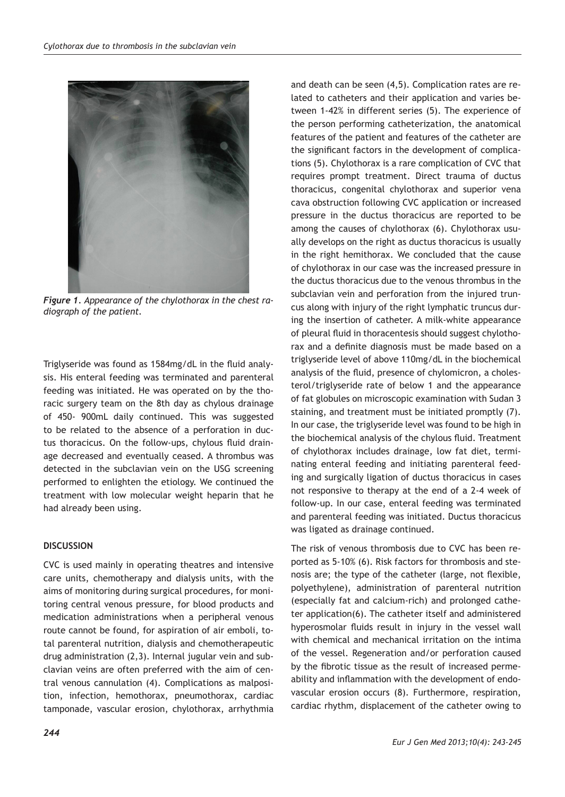

*Figure 1. Appearance of the chylothorax in the chest radiograph of the patient.*

Triglyseride was found as 1584mg/dL in the fluid analysis. His enteral feeding was terminated and parenteral feeding was initiated. He was operated on by the thoracic surgery team on the 8th day as chylous drainage of 450- 900mL daily continued. This was suggested to be related to the absence of a perforation in ductus thoracicus. On the follow-ups, chylous fluid drainage decreased and eventually ceased. A thrombus was detected in the subclavian vein on the USG screening performed to enlighten the etiology. We continued the treatment with low molecular weight heparin that he had already been using.

# **DISCUSSION**

CVC is used mainly in operating theatres and intensive care units, chemotherapy and dialysis units, with the aims of monitoring during surgical procedures, for monitoring central venous pressure, for blood products and medication administrations when a peripheral venous route cannot be found, for aspiration of air emboli, total parenteral nutrition, dialysis and chemotherapeutic drug administration (2,3). Internal jugular vein and subclavian veins are often preferred with the aim of central venous cannulation (4). Complications as malposition, infection, hemothorax, pneumothorax, cardiac tamponade, vascular erosion, chylothorax, arrhythmia

and death can be seen (4,5). Complication rates are related to catheters and their application and varies between 1-42% in different series (5). The experience of the person performing catheterization, the anatomical features of the patient and features of the catheter are the significant factors in the development of complications (5). Chylothorax is a rare complication of CVC that requires prompt treatment. Direct trauma of ductus thoracicus, congenital chylothorax and superior vena cava obstruction following CVC application or increased pressure in the ductus thoracicus are reported to be among the causes of chylothorax (6). Chylothorax usually develops on the right as ductus thoracicus is usually in the right hemithorax. We concluded that the cause of chylothorax in our case was the increased pressure in the ductus thoracicus due to the venous thrombus in the subclavian vein and perforation from the injured truncus along with injury of the right lymphatic truncus during the insertion of catheter. A milk-white appearance of pleural fluid in thoracentesis should suggest chylothorax and a definite diagnosis must be made based on a triglyseride level of above 110mg/dL in the biochemical analysis of the fluid, presence of chylomicron, a cholesterol/triglyseride rate of below 1 and the appearance of fat globules on microscopic examination with Sudan 3 staining, and treatment must be initiated promptly (7). In our case, the triglyseride level was found to be high in the biochemical analysis of the chylous fluid. Treatment of chylothorax includes drainage, low fat diet, terminating enteral feeding and initiating parenteral feeding and surgically ligation of ductus thoracicus in cases not responsive to therapy at the end of a 2-4 week of follow-up. In our case, enteral feeding was terminated and parenteral feeding was initiated. Ductus thoracicus was ligated as drainage continued.

The risk of venous thrombosis due to CVC has been reported as 5-10% (6). Risk factors for thrombosis and stenosis are; the type of the catheter (large, not flexible, polyethylene), administration of parenteral nutrition (especially fat and calcium-rich) and prolonged catheter application(6). The catheter itself and administered hyperosmolar fluids result in injury in the vessel wall with chemical and mechanical irritation on the intima of the vessel. Regeneration and/or perforation caused by the fibrotic tissue as the result of increased permeability and inflammation with the development of endovascular erosion occurs (8). Furthermore, respiration, cardiac rhythm, displacement of the catheter owing to